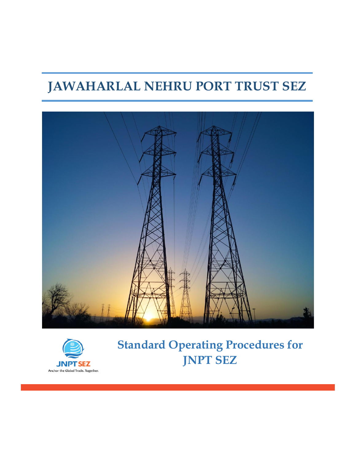# **JAWAHARLAL NEHRU PORT TRUST SEZ**





**Standard Operating Procedures for JNPT SEZ**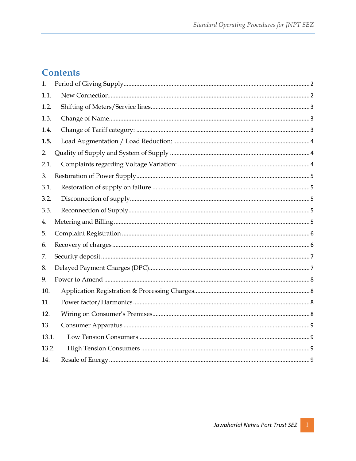# **Contents**

| 1.    |  |
|-------|--|
| 1.1.  |  |
| 1.2.  |  |
| 1.3.  |  |
| 1.4.  |  |
| 1.5.  |  |
| 2.    |  |
| 2.1.  |  |
| 3.    |  |
| 3.1.  |  |
| 3.2.  |  |
| 3.3.  |  |
| 4.    |  |
| 5.    |  |
| 6.    |  |
| 7.    |  |
| 8.    |  |
| 9.    |  |
| 10.   |  |
| 11.   |  |
| 12.   |  |
| 13.   |  |
| 13.1. |  |
| 13.2. |  |
| 14.   |  |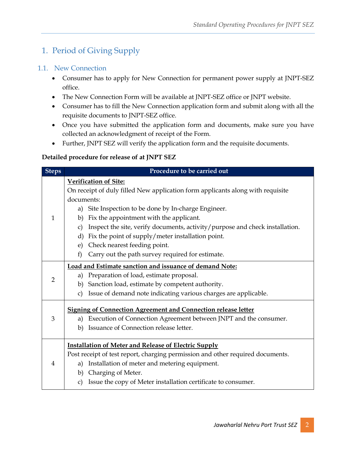# <span id="page-2-0"></span>1. Period of Giving Supply

#### <span id="page-2-1"></span>1.1. New Connection

- Consumer has to apply for New Connection for permanent power supply at JNPT-SEZ office.
- The New Connection Form will be available at JNPT-SEZ office or JNPT website.
- Consumer has to fill the New Connection application form and submit along with all the requisite documents to JNPT-SEZ office.
- Once you have submitted the application form and documents, make sure you have collected an acknowledgment of receipt of the Form.
- Further, JNPT SEZ will verify the application form and the requisite documents.

#### **Detailed procedure for release of at JNPT SEZ**

| <b>Steps</b>   | Procedure to be carried out                                                                                                                                                                                                                                                                                                                                        |  |  |
|----------------|--------------------------------------------------------------------------------------------------------------------------------------------------------------------------------------------------------------------------------------------------------------------------------------------------------------------------------------------------------------------|--|--|
|                | <b>Verification of Site:</b><br>On receipt of duly filled New application form applicants along with requisite<br>documents:                                                                                                                                                                                                                                       |  |  |
| $\mathbf{1}$   | Site Inspection to be done by In-charge Engineer.<br>a)<br>Fix the appointment with the applicant.<br>b)<br>Inspect the site, verify documents, activity/purpose and check installation.<br>$\mathbf{C}$<br>Fix the point of supply/meter installation point.<br>d)<br>Check nearest feeding point.<br>e)<br>Carry out the path survey required for estimate.<br>f |  |  |
| $\overline{2}$ | Load and Estimate sanction and issuance of demand Note:<br>Preparation of load, estimate proposal.<br>a)<br>Sanction load, estimate by competent authority.<br>b)<br>Issue of demand note indicating various charges are applicable.<br>$\mathbf{c})$                                                                                                              |  |  |
| 3              | <b>Signing of Connection Agreement and Connection release letter</b><br>Execution of Connection Agreement between JNPT and the consumer.<br>a)<br>Issuance of Connection release letter.<br>b)                                                                                                                                                                     |  |  |
| $\overline{4}$ | <b>Installation of Meter and Release of Electric Supply</b><br>Post receipt of test report, charging permission and other required documents.<br>Installation of meter and metering equipment.<br>a)<br>Charging of Meter.<br>b)<br>Issue the copy of Meter installation certificate to consumer.<br>$\mathbf{c})$                                                 |  |  |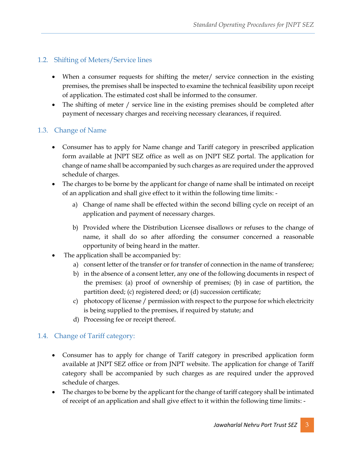#### <span id="page-3-0"></span>1.2. Shifting of Meters/Service lines

- When a consumer requests for shifting the meter/ service connection in the existing premises, the premises shall be inspected to examine the technical feasibility upon receipt of application. The estimated cost shall be informed to the consumer.
- The shifting of meter / service line in the existing premises should be completed after payment of necessary charges and receiving necessary clearances, if required.

#### <span id="page-3-1"></span>1.3. Change of Name

- Consumer has to apply for Name change and Tariff category in prescribed application form available at JNPT SEZ office as well as on JNPT SEZ portal. The application for change of name shall be accompanied by such charges as are required under the approved schedule of charges.
- The charges to be borne by the applicant for change of name shall be intimated on receipt of an application and shall give effect to it within the following time limits:
	- a) Change of name shall be effected within the second billing cycle on receipt of an application and payment of necessary charges.
	- b) Provided where the Distribution Licensee disallows or refuses to the change of name, it shall do so after affording the consumer concerned a reasonable opportunity of being heard in the matter.
- The application shall be accompanied by:
	- a) consent letter of the transfer or for transfer of connection in the name of transferee;
	- b) in the absence of a consent letter, any one of the following documents in respect of the premises: (a) proof of ownership of premises; (b) in case of partition, the partition deed; (c) registered deed; or (d) succession certificate;
	- c) photocopy of license / permission with respect to the purpose for which electricity is being supplied to the premises, if required by statute; and
	- d) Processing fee or receipt thereof.

#### <span id="page-3-2"></span>1.4. Change of Tariff category:

- Consumer has to apply for change of Tariff category in prescribed application form available at JNPT SEZ office or from JNPT website. The application for change of Tariff category shall be accompanied by such charges as are required under the approved schedule of charges.
- The charges to be borne by the applicant for the change of tariff category shall be intimated of receipt of an application and shall give effect to it within the following time limits: -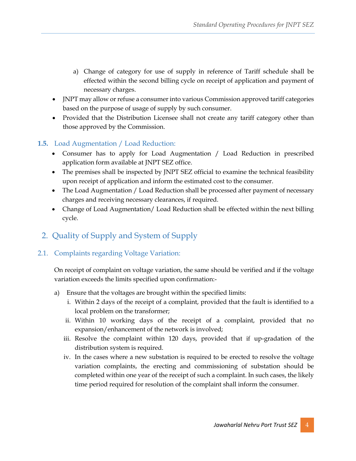- a) Change of category for use of supply in reference of Tariff schedule shall be effected within the second billing cycle on receipt of application and payment of necessary charges.
- JNPT may allow or refuse a consumer into various Commission approved tariff categories based on the purpose of usage of supply by such consumer.
- Provided that the Distribution Licensee shall not create any tariff category other than those approved by the Commission.

#### <span id="page-4-0"></span>**1.5.** Load Augmentation / Load Reduction:

- Consumer has to apply for Load Augmentation / Load Reduction in prescribed application form available at JNPT SEZ office.
- The premises shall be inspected by JNPT SEZ official to examine the technical feasibility upon receipt of application and inform the estimated cost to the consumer.
- The Load Augmentation / Load Reduction shall be processed after payment of necessary charges and receiving necessary clearances, if required.
- Change of Load Augmentation/ Load Reduction shall be effected within the next billing cycle.

### <span id="page-4-1"></span>2. Quality of Supply and System of Supply

#### <span id="page-4-2"></span>2.1. Complaints regarding Voltage Variation:

On receipt of complaint on voltage variation, the same should be verified and if the voltage variation exceeds the limits specified upon confirmation:-

- a) Ensure that the voltages are brought within the specified limits:
	- i. Within 2 days of the receipt of a complaint, provided that the fault is identified to a local problem on the transformer;
	- ii. Within 10 working days of the receipt of a complaint, provided that no expansion/enhancement of the network is involved;
	- iii. Resolve the complaint within 120 days, provided that if up-gradation of the distribution system is required.
	- iv. In the cases where a new substation is required to be erected to resolve the voltage variation complaints, the erecting and commissioning of substation should be completed within one year of the receipt of such a complaint. In such cases, the likely time period required for resolution of the complaint shall inform the consumer.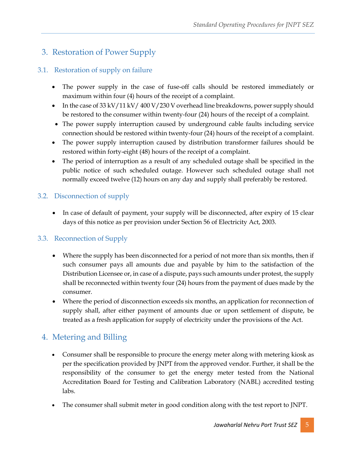# <span id="page-5-0"></span>3. Restoration of Power Supply

### <span id="page-5-1"></span>3.1. Restoration of supply on failure

- The power supply in the case of fuse-off calls should be restored immediately or maximum within four (4) hours of the receipt of a complaint.
- In the case of  $33 \frac{\text{kV}}{11 \frac{\text{kV}}{400 \frac{\text{V}}{230 \frac{\text{V}}{200 \frac{\text{V}}{100 \frac{\text{V}}{100 \frac{\text{V}}{100 \frac{\text{V}}{100 \frac{\text{V}}{100 \frac{\text{V}}{100 \frac{\text{V}}{100 \frac{\text{V}}{100 \frac{\text{V}}{100 \frac{\text{V}}{100 \frac{\text{V}}{100 \frac{\text{V}}{100 \frac{\text{V}}{100 \frac{\text{V}}{100 \frac{\text{V$ be restored to the consumer within twenty-four (24) hours of the receipt of a complaint.
- The power supply interruption caused by underground cable faults including service connection should be restored within twenty-four (24) hours of the receipt of a complaint.
- The power supply interruption caused by distribution transformer failures should be restored within forty-eight (48) hours of the receipt of a complaint.
- The period of interruption as a result of any scheduled outage shall be specified in the public notice of such scheduled outage. However such scheduled outage shall not normally exceed twelve (12) hours on any day and supply shall preferably be restored.

### <span id="page-5-2"></span>3.2. Disconnection of supply

• In case of default of payment, your supply will be disconnected, after expiry of 15 clear days of this notice as per provision under Section 56 of Electricity Act, 2003.

#### <span id="page-5-3"></span>3.3. Reconnection of Supply

- Where the supply has been disconnected for a period of not more than six months, then if such consumer pays all amounts due and payable by him to the satisfaction of the Distribution Licensee or, in case of a dispute, pays such amounts under protest, the supply shall be reconnected within twenty four (24) hours from the payment of dues made by the consumer.
- Where the period of disconnection exceeds six months, an application for reconnection of supply shall, after either payment of amounts due or upon settlement of dispute, be treated as a fresh application for supply of electricity under the provisions of the Act.

# <span id="page-5-4"></span>4. Metering and Billing

- Consumer shall be responsible to procure the energy meter along with metering kiosk as per the specification provided by JNPT from the approved vendor. Further, it shall be the responsibility of the consumer to get the energy meter tested from the National Accreditation Board for Testing and Calibration Laboratory (NABL) accredited testing labs.
- The consumer shall submit meter in good condition along with the test report to JNPT.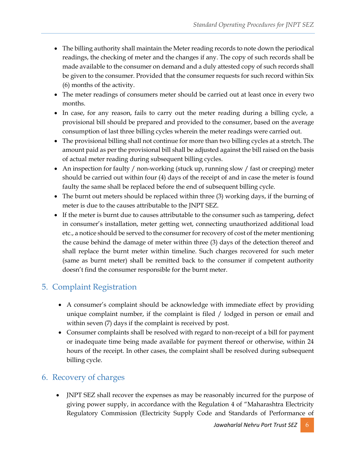- The billing authority shall maintain the Meter reading records to note down the periodical readings, the checking of meter and the changes if any. The copy of such records shall be made available to the consumer on demand and a duly attested copy of such records shall be given to the consumer. Provided that the consumer requests for such record within Six (6) months of the activity.
- The meter readings of consumers meter should be carried out at least once in every two months.
- In case, for any reason, fails to carry out the meter reading during a billing cycle, a provisional bill should be prepared and provided to the consumer, based on the average consumption of last three billing cycles wherein the meter readings were carried out.
- The provisional billing shall not continue for more than two billing cycles at a stretch. The amount paid as per the provisional bill shall be adjusted against the bill raised on the basis of actual meter reading during subsequent billing cycles.
- An inspection for faulty / non-working (stuck up, running slow / fast or creeping) meter should be carried out within four (4) days of the receipt of and in case the meter is found faulty the same shall be replaced before the end of subsequent billing cycle.
- The burnt out meters should be replaced within three (3) working days, if the burning of meter is due to the causes attributable to the JNPT SEZ.
- If the meter is burnt due to causes attributable to the consumer such as tampering, defect in consumer's installation, meter getting wet, connecting unauthorized additional load etc., a notice should be served to the consumer for recovery of cost of the meter mentioning the cause behind the damage of meter within three (3) days of the detection thereof and shall replace the burnt meter within timeline. Such charges recovered for such meter (same as burnt meter) shall be remitted back to the consumer if competent authority doesn't find the consumer responsible for the burnt meter.

# <span id="page-6-0"></span>5. Complaint Registration

- A consumer's complaint should be acknowledge with immediate effect by providing unique complaint number, if the complaint is filed / lodged in person or email and within seven (7) days if the complaint is received by post.
- Consumer complaints shall be resolved with regard to non-receipt of a bill for payment or inadequate time being made available for payment thereof or otherwise, within 24 hours of the receipt. In other cases, the complaint shall be resolved during subsequent billing cycle.

### <span id="page-6-1"></span>6. Recovery of charges

 JNPT SEZ shall recover the expenses as may be reasonably incurred for the purpose of giving power supply, in accordance with the Regulation 4 of "Maharashtra Electricity Regulatory Commission (Electricity Supply Code and Standards of Performance of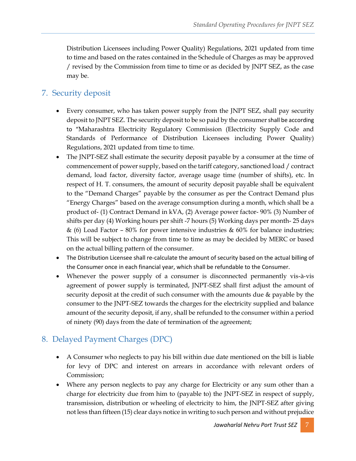Distribution Licensees including Power Quality) Regulations, 2021 updated from time to time and based on the rates contained in the Schedule of Charges as may be approved / revised by the Commission from time to time or as decided by JNPT SEZ, as the case may be.

### <span id="page-7-0"></span>7. Security deposit

- Every consumer, who has taken power supply from the JNPT SEZ, shall pay security deposit to JNPT SEZ. The security deposit to be so paid by the consumer shall be according to "Maharashtra Electricity Regulatory Commission (Electricity Supply Code and Standards of Performance of Distribution Licensees including Power Quality) Regulations, 2021 updated from time to time.
- The JNPT-SEZ shall estimate the security deposit payable by a consumer at the time of commencement of power supply, based on the tariff category, sanctioned load / contract demand, load factor, diversity factor, average usage time (number of shifts), etc. In respect of H. T. consumers, the amount of security deposit payable shall be equivalent to the "Demand Charges" payable by the consumer as per the Contract Demand plus "Energy Charges" based on the average consumption during a month, which shall be a product of- (1) Contract Demand in kVA, (2) Average power factor- 90% (3) Number of shifts per day (4) Working hours per shift -7 hours (5) Working days per month- 25 days & (6) Load Factor - 80% for power intensive industries & 60% for balance industries; This will be subject to change from time to time as may be decided by MERC or based on the actual billing pattern of the consumer.
- The Distribution Licensee shall re-calculate the amount of security based on the actual billing of the Consumer once in each financial year, which shall be refundable to the Consumer.
- Whenever the power supply of a consumer is disconnected permanently vis-à-vis agreement of power supply is terminated, JNPT-SEZ shall first adjust the amount of security deposit at the credit of such consumer with the amounts due & payable by the consumer to the JNPT-SEZ towards the charges for the electricity supplied and balance amount of the security deposit, if any, shall be refunded to the consumer within a period of ninety (90) days from the date of termination of the agreement;

### <span id="page-7-1"></span>8. Delayed Payment Charges (DPC)

- A Consumer who neglects to pay his bill within due date mentioned on the bill is liable for levy of DPC and interest on arrears in accordance with relevant orders of Commission;
- Where any person neglects to pay any charge for Electricity or any sum other than a charge for electricity due from him to (payable to) the JNPT-SEZ in respect of supply, transmission, distribution or wheeling of electricity to him, the JNPT-SEZ after giving not less than fifteen (15) clear days notice in writing to such person and without prejudice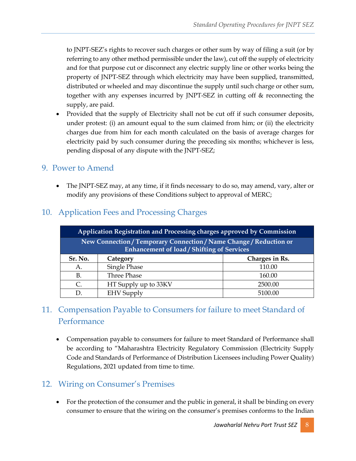to JNPT-SEZ's rights to recover such charges or other sum by way of filing a suit (or by referring to any other method permissible under the law), cut off the supply of electricity and for that purpose cut or disconnect any electric supply line or other works being the property of JNPT-SEZ through which electricity may have been supplied, transmitted, distributed or wheeled and may discontinue the supply until such charge or other sum, together with any expenses incurred by JNPT-SEZ in cutting off & reconnecting the supply, are paid.

• Provided that the supply of Electricity shall not be cut off if such consumer deposits, under protest: (i) an amount equal to the sum claimed from him; or (ii) the electricity charges due from him for each month calculated on the basis of average charges for electricity paid by such consumer during the preceding six months; whichever is less, pending disposal of any dispute with the JNPT-SEZ;

#### <span id="page-8-0"></span>9. Power to Amend

• The JNPT-SEZ may, at any time, if it finds necessary to do so, may amend, vary, alter or modify any provisions of these Conditions subject to approval of MERC;

| Application Registration and Processing charges approved by Commission                                                  |                      |                |  |  |  |
|-------------------------------------------------------------------------------------------------------------------------|----------------------|----------------|--|--|--|
| New Connection / Temporary Connection / Name Change / Reduction or<br><b>Enhancement of load / Shifting of Services</b> |                      |                |  |  |  |
| Sr. No.                                                                                                                 | Category             | Charges in Rs. |  |  |  |
| А.                                                                                                                      | Single Phase         | 110.00         |  |  |  |
| B.                                                                                                                      | Three Phase          | 160.00         |  |  |  |
| C.                                                                                                                      | HT Supply up to 33KV | 2500.00        |  |  |  |
|                                                                                                                         | <b>EHV</b> Supply    | 5100.00        |  |  |  |

### <span id="page-8-1"></span>10. Application Fees and Processing Charges

# <span id="page-8-2"></span>11. Compensation Payable to Consumers for failure to meet Standard of Performance

 Compensation payable to consumers for failure to meet Standard of Performance shall be according to "Maharashtra Electricity Regulatory Commission (Electricity Supply Code and Standards of Performance of Distribution Licensees including Power Quality) Regulations, 2021 updated from time to time.

### <span id="page-8-3"></span>12. Wiring on Consumer's Premises

• For the protection of the consumer and the public in general, it shall be binding on every consumer to ensure that the wiring on the consumer's premises conforms to the Indian